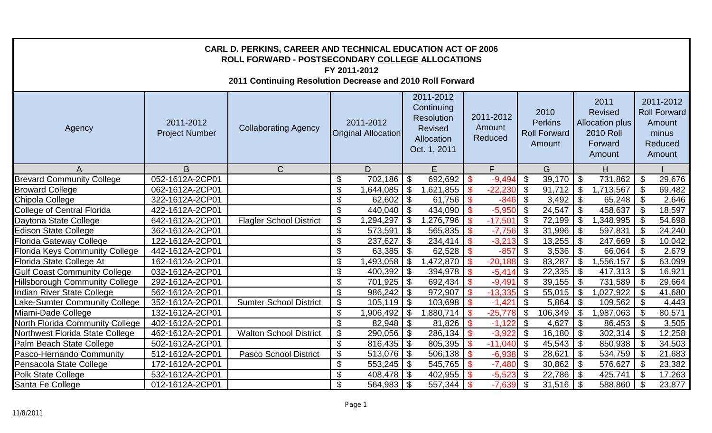| CARL D. PERKINS, CAREER AND TECHNICAL EDUCATION ACT OF 2006<br>ROLL FORWARD - POSTSECONDARY COLLEGE ALLOCATIONS<br>FY 2011-2012<br>2011 Continuing Resolution Decrease and 2010 Roll Forward |                                    |                                |                           |                                         |                           |                                                                                       |                    |                                |                           |                                                         |                           |                                                                                           |                           |                                                                                 |
|----------------------------------------------------------------------------------------------------------------------------------------------------------------------------------------------|------------------------------------|--------------------------------|---------------------------|-----------------------------------------|---------------------------|---------------------------------------------------------------------------------------|--------------------|--------------------------------|---------------------------|---------------------------------------------------------|---------------------------|-------------------------------------------------------------------------------------------|---------------------------|---------------------------------------------------------------------------------|
| Agency                                                                                                                                                                                       | 2011-2012<br><b>Project Number</b> | <b>Collaborating Agency</b>    |                           | 2011-2012<br><b>Original Allocation</b> |                           | 2011-2012<br>Continuing<br><b>Resolution</b><br>Revised<br>Allocation<br>Oct. 1, 2011 |                    | 2011-2012<br>Amount<br>Reduced |                           | 2010<br><b>Perkins</b><br><b>Roll Forward</b><br>Amount |                           | 2011<br><b>Revised</b><br><b>Allocation plus</b><br><b>2010 Roll</b><br>Forward<br>Amount |                           | 2011-2012<br><b>Roll Forward</b><br><b>Amount</b><br>minus<br>Reduced<br>Amount |
| A                                                                                                                                                                                            | B                                  | $\mathsf{C}$                   |                           | D                                       |                           | E                                                                                     |                    | F.                             |                           | G                                                       |                           | H                                                                                         |                           |                                                                                 |
| <b>Brevard Community College</b>                                                                                                                                                             | 052-1612A-2CP01                    |                                | \$                        | 702,186                                 | \$                        | 692,692                                                                               | <b>\$</b>          | $-9,494$                       | \$                        | 39,170                                                  | \$                        | 731,862                                                                                   | \$                        | 29,676                                                                          |
| <b>Broward College</b>                                                                                                                                                                       | 062-1612A-2CP01                    |                                | \$                        | $.644,085$ \$                           |                           | ,621,855                                                                              | -\$                | $-22,230$                      | \$                        | 91,712                                                  | $\boldsymbol{\mathsf{S}}$ | 1,713,567                                                                                 | \$                        | 69,482                                                                          |
| Chipola College                                                                                                                                                                              | 322-1612A-2CP01                    |                                | $\mathfrak{S}$            | $62,602$ \ \$                           |                           | 61,756                                                                                | <b>S</b>           | $-846$                         | \$                        | $3,492$   \$                                            |                           | 65,248                                                                                    | \$                        | 2,646                                                                           |
| <b>College of Central Florida</b>                                                                                                                                                            | 422-1612A-2CP01                    |                                | $\overline{\mathcal{G}}$  | $440,040$ \ \$                          |                           | 434,090                                                                               | ්                  | $-5,950$                       | $\mathfrak{S}$            | $24,547$ \$                                             |                           | 458,637                                                                                   | -\$                       | 18,597                                                                          |
| Daytona State College                                                                                                                                                                        | 642-1612A-2CP01                    | <b>Flagler School District</b> | $\boldsymbol{\mathsf{S}}$ | $1,294,297$ \$                          |                           | ,276,796                                                                              | $\sqrt{3}$         | $-17,501$                      | $\mathfrak{S}$            | $72,199$ \$                                             |                           | 1,348,995                                                                                 | \$                        | 54,698                                                                          |
| <b>Edison State College</b>                                                                                                                                                                  | 362-1612A-2CP01                    |                                | $\boldsymbol{\mathsf{S}}$ | $573,591$ \$                            |                           | 565,835                                                                               | $\mathbf{\$}$      | $-7,756$                       | $\sqrt{3}$                | $31,996$ \$                                             |                           | 597,831                                                                                   | \$                        | 24,240                                                                          |
| <b>Florida Gateway College</b>                                                                                                                                                               | 122-1612A-2CP01                    |                                | $\mathfrak{S}$            | 237,627                                 | $\boldsymbol{\mathsf{S}}$ | 234,414                                                                               | $\mathbf{\hat{S}}$ | $-3,213$                       | $\mathfrak{S}$            | $13,255$   \$                                           |                           | 247,669                                                                                   | \$                        | 10,042                                                                          |
| <b>Florida Keys Community College</b>                                                                                                                                                        | 442-1612A-2CP01                    |                                | \$                        | 63,385                                  | $\mathfrak{F}$            | 62,528                                                                                | $\mathbf{\hat{s}}$ | $-857$                         | $\mathfrak{F}$            | 3,536                                                   | $\mathfrak{F}$            | 66,064                                                                                    | $\mathfrak{F}$            | 2,679                                                                           |
| Florida State College At                                                                                                                                                                     | 162-1612A-2CP01                    |                                | \$                        | $1,493,058$ \$                          |                           | 1,472,870                                                                             | - \$               | $-20,188$                      | \$                        | 83,287                                                  | \$                        | 1,556,157                                                                                 | -\$                       | 63,099                                                                          |
| <b>Gulf Coast Community College</b>                                                                                                                                                          | 032-1612A-2CP01                    |                                | $\mathfrak{S}$            | $400,392$ \\$                           |                           | 394,978                                                                               | $\mathbf{\hat{S}}$ | $-5,414$ \$                    |                           | $22,335$ \$                                             |                           | 417,313                                                                                   | -\$                       | 16,921                                                                          |
| <b>Hillsborough Community College</b>                                                                                                                                                        | 292-1612A-2CP01                    |                                | \$                        | $701,925$ \$                            |                           | 692,434                                                                               | $\mathbf{\$}$      | $-9,491$                       | $\sqrt[6]{3}$             | $39,155$   \$                                           |                           | 731,589                                                                                   | \$                        | 29,664                                                                          |
| Indian River State College                                                                                                                                                                   | 562-1612A-2CP01                    |                                | $\boldsymbol{\mathsf{S}}$ | $986,242$ \$                            |                           | 972,907                                                                               | -\$                | $-13,335$                      | $\sqrt[6]{3}$             | $55,015$   $\overline{\$}$                              |                           | 1,027,922                                                                                 | \$                        | 41,680                                                                          |
| Lake-Sumter Community College                                                                                                                                                                | 352-1612A-2CP01                    | <b>Sumter School District</b>  | $\mathfrak{S}$            | $105, 119$ \$                           |                           | 103,698                                                                               | \$                 | $-1,421$                       | $\mathfrak{S}$            | $5,864$ \ \$                                            |                           | 109,562                                                                                   | \$                        | 4,443                                                                           |
| Miami-Dade College                                                                                                                                                                           | 132-1612A-2CP01                    |                                | \$                        | 1,906,492                               | $\boldsymbol{\mathsf{S}}$ | ,880,714                                                                              | -\$                | $-25,778$                      | $\boldsymbol{\mathsf{S}}$ | 106,349                                                 | $\mathfrak{S}$            | 1,987,063                                                                                 | $\boldsymbol{\mathsf{S}}$ | 80,571                                                                          |
| North Florida Community College                                                                                                                                                              | 402-1612A-2CP01                    |                                | \$                        |                                         |                           | 81,826                                                                                | $\sqrt{3}$         | $-1,122$                       | $\mathfrak{F}$            | 4,627   $$$                                             |                           | 86,453                                                                                    | \$                        | 3,505                                                                           |
| Northwest Florida State College                                                                                                                                                              | 462-1612A-2CP01                    | <b>Walton School District</b>  | \$                        | $290,056$   \$                          |                           | 286,134                                                                               | $\mathbf{\hat{S}}$ | $-3,922$                       | $\sqrt[3]{5}$             | $16,180$ \ \$                                           |                           | 302,314                                                                                   | \$                        | 12,258                                                                          |
| Palm Beach State College                                                                                                                                                                     | 502-1612A-2CP01                    |                                | $\boldsymbol{\mathsf{S}}$ | $816,435$ \$                            |                           | 805,395                                                                               | $\sqrt{3}$         | $-11,040$ \$                   |                           | $45,543$   \$                                           |                           | 850,938                                                                                   | $\mathfrak{F}$            | 34,503                                                                          |
| Pasco-Hernando Community                                                                                                                                                                     | 512-1612A-2CP01                    | <b>Pasco School District</b>   | $\boldsymbol{\mathsf{S}}$ | $513,076$ \$                            |                           | 506,138                                                                               | $\sqrt{3}$         | $-6,938$ \$                    |                           | 28,621                                                  | $\vert$ \$                | 534,759                                                                                   | \$                        | 21,683                                                                          |
| Pensacola State College                                                                                                                                                                      | 172-1612A-2CP01                    |                                | $\mathfrak{S}$            | $553,245$   $\overline{\$}$             |                           | 545,765                                                                               | $\sqrt{3}$         | $-7,480$ \$                    |                           | $30,862$   \$                                           |                           | 576,627                                                                                   | \$                        | 23,382                                                                          |
| <b>Polk State College</b>                                                                                                                                                                    | 532-1612A-2CP01                    |                                | $\boldsymbol{\mathsf{S}}$ |                                         |                           | 402,955                                                                               | $\mathbf{\hat{S}}$ | $-5,523$                       | \$                        |                                                         |                           | 425,741                                                                                   | -\$                       | 17,263                                                                          |
| Santa Fe College                                                                                                                                                                             | 012-1612A-2CP01                    |                                | \$                        | $564,983$ \$                            |                           | 557,344                                                                               | $\mathcal{S}$      | $-7,639$                       | $\mathfrak{F}$            | $31,516$ \$                                             |                           | 588,860                                                                                   | \$                        | 23,877                                                                          |